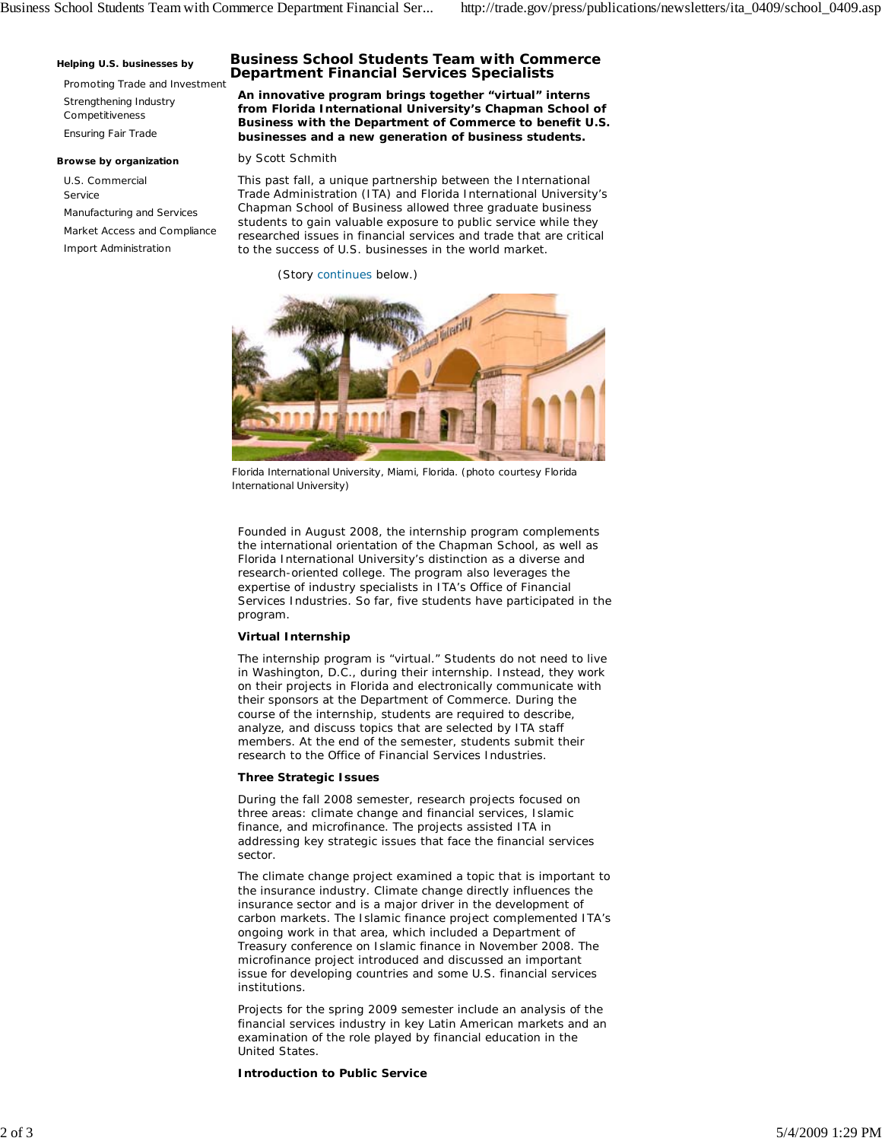#### **Helping U.S. businesses by**

Promoting Trade and Investment Strengthening Industry Competitiveness Ensuring Fair Trade

#### **Browse by organization**

U.S. Commercial Service Manufacturing and Services Market Access and Compliance Import Administration

# **Business School Students Team with Commerce Department Financial Services Specialists**

**An innovative program brings together "virtual" interns from Florida International University's Chapman School of Business with the Department of Commerce to benefit U.S. businesses and a new generation of business students.**

### *by Scott Schmith*

This past fall, a unique partnership between the International Trade Administration (ITA) and Florida International University's Chapman School of Business allowed three graduate business students to gain valuable exposure to public service while they researched issues in financial services and trade that are critical to the success of U.S. businesses in the world market.

(Story continues below.)



Florida International University, Miami, Florida. (photo courtesy Florida International University)

Founded in August 2008, the internship program complements the international orientation of the Chapman School, as well as Florida International University's distinction as a diverse and research-oriented college. The program also leverages the expertise of industry specialists in ITA's Office of Financial Services Industries. So far, five students have participated in the program.

## **Virtual Internship**

The internship program is "virtual." Students do not need to live in Washington, D.C., during their internship. Instead, they work on their projects in Florida and electronically communicate with their sponsors at the Department of Commerce. During the course of the internship, students are required to describe, analyze, and discuss topics that are selected by ITA staff members. At the end of the semester, students submit their research to the Office of Financial Services Industries.

### **Three Strategic Issues**

During the fall 2008 semester, research projects focused on three areas: climate change and financial services, Islamic finance, and microfinance. The projects assisted ITA in addressing key strategic issues that face the financial services sector.

The climate change project examined a topic that is important to the insurance industry. Climate change directly influences the insurance sector and is a major driver in the development of carbon markets. The Islamic finance project complemented ITA's ongoing work in that area, which included a Department of Treasury conference on Islamic finance in November 2008. The microfinance project introduced and discussed an important issue for developing countries and some U.S. financial services institutions.

Projects for the spring 2009 semester include an analysis of the financial services industry in key Latin American markets and an examination of the role played by financial education in the United States.

**Introduction to Public Service**